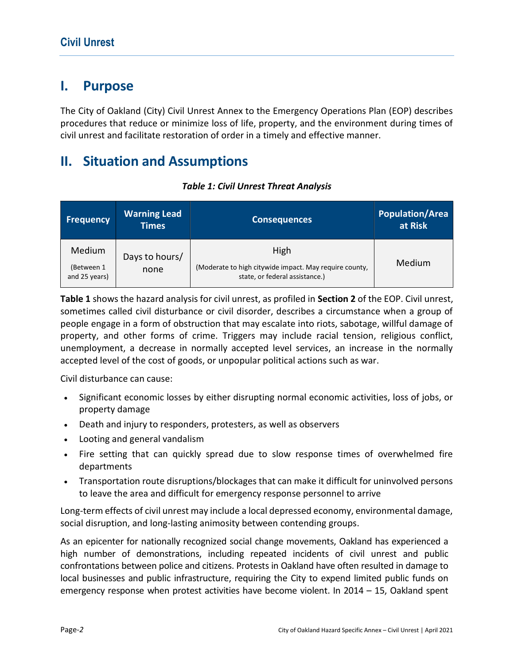# I. Purpose

The City of Oakland (City) Civil Unrest Annex to the Emergency Operations Plan (EOP) describes procedures that reduce or minimize loss of life, property, and the environment during times of civil unrest and facilitate restoration of order in a timely and effective manner.

# II. Situation and Assumptions

| <b>Frequency</b>                      | <b>Warning Lead</b><br><b>Times</b> | <b>Consequences</b>                                                                              | <b>Population/Area</b><br>at Risk |
|---------------------------------------|-------------------------------------|--------------------------------------------------------------------------------------------------|-----------------------------------|
| Medium<br>(Between 1<br>and 25 years) | Days to hours/<br>none              | High<br>(Moderate to high citywide impact. May require county,<br>state, or federal assistance.) | Medium                            |

### Table 1: Civil Unrest Threat Analysis

Table 1 shows the hazard analysis for civil unrest, as profiled in Section 2 of the EOP. Civil unrest, sometimes called civil disturbance or civil disorder, describes a circumstance when a group of people engage in a form of obstruction that may escalate into riots, sabotage, willful damage of property, and other forms of crime. Triggers may include racial tension, religious conflict, unemployment, a decrease in normally accepted level services, an increase in the normally accepted level of the cost of goods, or unpopular political actions such as war.

Civil disturbance can cause:

- Significant economic losses by either disrupting normal economic activities, loss of jobs, or property damage
- Death and injury to responders, protesters, as well as observers
- Looting and general vandalism
- Fire setting that can quickly spread due to slow response times of overwhelmed fire departments
- Transportation route disruptions/blockages that can make it difficult for uninvolved persons to leave the area and difficult for emergency response personnel to arrive

Long-term effects of civil unrest may include a local depressed economy, environmental damage, social disruption, and long-lasting animosity between contending groups.

As an epicenter for nationally recognized social change movements, Oakland has experienced a high number of demonstrations, including repeated incidents of civil unrest and public confrontations between police and citizens. Protests in Oakland have often resulted in damage to local businesses and public infrastructure, requiring the City to expend limited public funds on emergency response when protest activities have become violent. In 2014 – 15, Oakland spent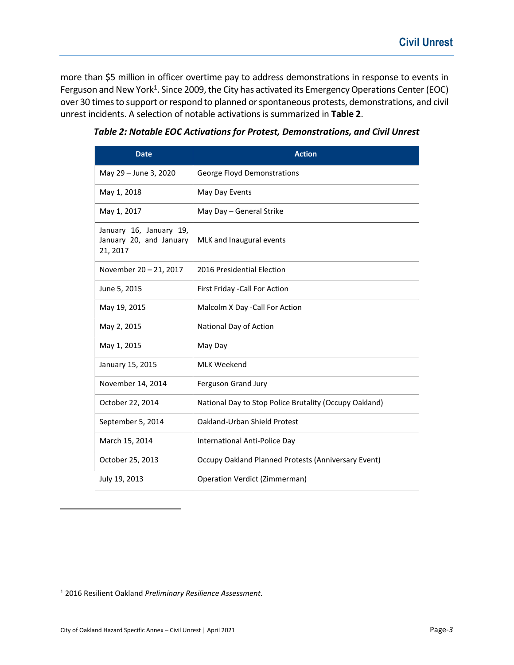more than \$5 million in officer overtime pay to address demonstrations in response to events in Ferguson and New York<sup>1</sup>. Since 2009, the City has activated its Emergency Operations Center (EOC) over 30 times to support or respond to planned or spontaneous protests, demonstrations, and civil unrest incidents. A selection of notable activations is summarized in Table 2.

| <b>Date</b>                                                    | <b>Action</b>                                          |
|----------------------------------------------------------------|--------------------------------------------------------|
| May 29 - June 3, 2020                                          | George Floyd Demonstrations                            |
| May 1, 2018                                                    | May Day Events                                         |
| May 1, 2017                                                    | May Day - General Strike                               |
| January 16, January 19,<br>January 20, and January<br>21, 2017 | MLK and Inaugural events                               |
| November 20 - 21, 2017                                         | 2016 Presidential Election                             |
| June 5, 2015                                                   | First Friday - Call For Action                         |
| May 19, 2015                                                   | Malcolm X Day - Call For Action                        |
| May 2, 2015                                                    | National Day of Action                                 |
| May 1, 2015                                                    | May Day                                                |
| January 15, 2015                                               | <b>MLK Weekend</b>                                     |
| November 14, 2014                                              | Ferguson Grand Jury                                    |
| October 22, 2014                                               | National Day to Stop Police Brutality (Occupy Oakland) |
| September 5, 2014                                              | Oakland-Urban Shield Protest                           |
| March 15, 2014                                                 | International Anti-Police Day                          |
| October 25, 2013                                               | Occupy Oakland Planned Protests (Anniversary Event)    |
| July 19, 2013                                                  | Operation Verdict (Zimmerman)                          |

Table 2: Notable EOC Activations for Protest, Demonstrations, and Civil Unrest

<sup>1</sup> 2016 Resilient Oakland Preliminary Resilience Assessment.

l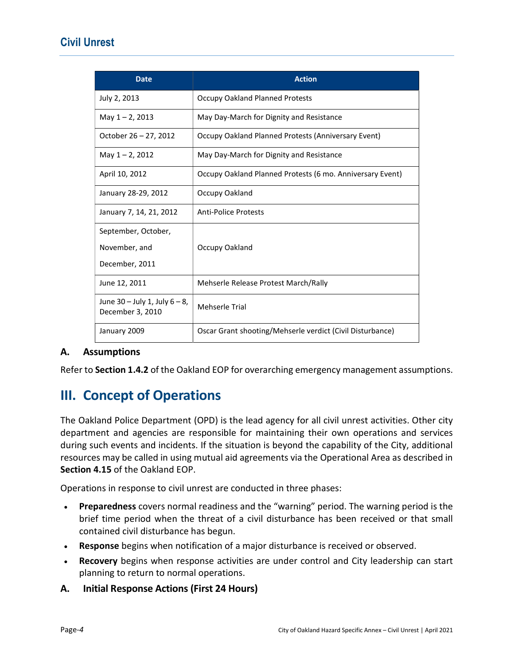## Civil Unrest

| <b>Date</b>                                            | <b>Action</b>                                             |
|--------------------------------------------------------|-----------------------------------------------------------|
| July 2, 2013                                           | <b>Occupy Oakland Planned Protests</b>                    |
| May 1-2, 2013                                          | May Day-March for Dignity and Resistance                  |
| October 26 - 27, 2012                                  | Occupy Oakland Planned Protests (Anniversary Event)       |
| May 1 - 2, 2012                                        | May Day-March for Dignity and Resistance                  |
| April 10, 2012                                         | Occupy Oakland Planned Protests (6 mo. Anniversary Event) |
| January 28-29, 2012                                    | Occupy Oakland                                            |
| January 7, 14, 21, 2012                                | <b>Anti-Police Protests</b>                               |
| September, October,                                    |                                                           |
| November, and                                          | Occupy Oakland                                            |
| December, 2011                                         |                                                           |
| June 12, 2011                                          | Mehserle Release Protest March/Rally                      |
| June $30 -$ July 1, July $6 - 8$ ,<br>December 3, 2010 | <b>Mehserle Trial</b>                                     |
| January 2009                                           | Oscar Grant shooting/Mehserle verdict (Civil Disturbance) |

### A. Assumptions

Refer to Section 1.4.2 of the Oakland EOP for overarching emergency management assumptions.

# III. Concept of Operations

The Oakland Police Department (OPD) is the lead agency for all civil unrest activities. Other city department and agencies are responsible for maintaining their own operations and services during such events and incidents. If the situation is beyond the capability of the City, additional resources may be called in using mutual aid agreements via the Operational Area as described in Section 4.15 of the Oakland EOP.

Operations in response to civil unrest are conducted in three phases:

- Preparedness covers normal readiness and the "warning" period. The warning period is the brief time period when the threat of a civil disturbance has been received or that small contained civil disturbance has begun.
- Response begins when notification of a major disturbance is received or observed.
- Recovery begins when response activities are under control and City leadership can start planning to return to normal operations.
- A. Initial Response Actions (First 24 Hours)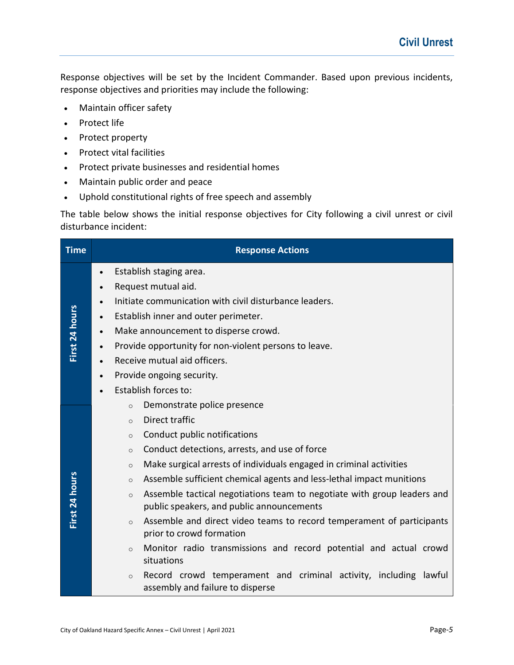Response objectives will be set by the Incident Commander. Based upon previous incidents, response objectives and priorities may include the following:

- Maintain officer safety
- Protect life
- Protect property
- Protect vital facilities
- Protect private businesses and residential homes
- Maintain public order and peace
- Uphold constitutional rights of free speech and assembly

The table below shows the initial response objectives for City following a civil unrest or civil disturbance incident:

| <b>Time</b>    | <b>Response Actions</b>                                                                                                         |  |  |
|----------------|---------------------------------------------------------------------------------------------------------------------------------|--|--|
|                | Establish staging area.<br>$\bullet$                                                                                            |  |  |
|                | Request mutual aid.<br>$\bullet$                                                                                                |  |  |
|                | Initiate communication with civil disturbance leaders.<br>$\bullet$                                                             |  |  |
|                | Establish inner and outer perimeter.<br>$\bullet$                                                                               |  |  |
| First 24 hours | Make announcement to disperse crowd.<br>$\bullet$                                                                               |  |  |
|                | Provide opportunity for non-violent persons to leave.<br>$\bullet$                                                              |  |  |
|                | Receive mutual aid officers.<br>$\bullet$                                                                                       |  |  |
|                | Provide ongoing security.<br>$\bullet$                                                                                          |  |  |
|                | Establish forces to:                                                                                                            |  |  |
|                | Demonstrate police presence<br>$\circ$                                                                                          |  |  |
|                | Direct traffic<br>$\circ$                                                                                                       |  |  |
|                | Conduct public notifications<br>$\circ$                                                                                         |  |  |
|                | Conduct detections, arrests, and use of force<br>$\circ$                                                                        |  |  |
|                | Make surgical arrests of individuals engaged in criminal activities<br>$\circ$                                                  |  |  |
|                | Assemble sufficient chemical agents and less-lethal impact munitions<br>$\circ$                                                 |  |  |
| First 24 hours | Assemble tactical negotiations team to negotiate with group leaders and<br>$\circ$<br>public speakers, and public announcements |  |  |
|                | Assemble and direct video teams to record temperament of participants<br>$\Omega$<br>prior to crowd formation                   |  |  |
|                | Monitor radio transmissions and record potential and actual crowd<br>$\circ$<br>situations                                      |  |  |
|                | Record crowd temperament and criminal activity, including lawful<br>$\circ$<br>assembly and failure to disperse                 |  |  |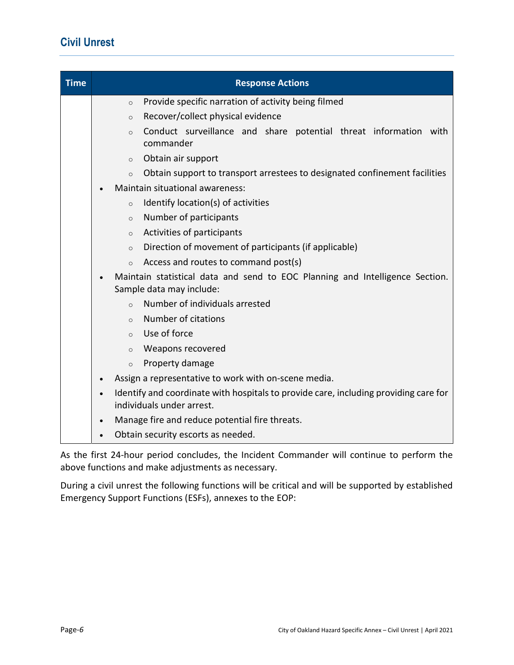# Civil Unrest

| <b>Time</b> | <b>Response Actions</b>                                                                                           |
|-------------|-------------------------------------------------------------------------------------------------------------------|
|             | Provide specific narration of activity being filmed<br>$\circ$                                                    |
|             | Recover/collect physical evidence<br>$\circ$                                                                      |
|             | Conduct surveillance and share potential threat information with<br>$\circ$<br>commander                          |
|             | Obtain air support<br>$\circ$                                                                                     |
|             | Obtain support to transport arrestees to designated confinement facilities<br>$\circ$                             |
|             | Maintain situational awareness:                                                                                   |
|             | Identify location(s) of activities<br>$\circ$                                                                     |
|             | Number of participants<br>$\circ$                                                                                 |
|             | Activities of participants<br>$\circ$                                                                             |
|             | Direction of movement of participants (if applicable)<br>$\circ$                                                  |
|             | Access and routes to command post(s)<br>$\circ$                                                                   |
|             | Maintain statistical data and send to EOC Planning and Intelligence Section.<br>Sample data may include:          |
|             | Number of individuals arrested<br>$\circ$                                                                         |
|             | Number of citations<br>$\circ$                                                                                    |
|             | Use of force<br>$\circ$                                                                                           |
|             | Weapons recovered<br>$\circ$                                                                                      |
|             | Property damage<br>$\circ$                                                                                        |
|             | Assign a representative to work with on-scene media.                                                              |
|             | Identify and coordinate with hospitals to provide care, including providing care for<br>individuals under arrest. |
|             | Manage fire and reduce potential fire threats.<br>$\bullet$                                                       |
|             | Obtain security escorts as needed.                                                                                |

As the first 24-hour period concludes, the Incident Commander will continue to perform the above functions and make adjustments as necessary.

During a civil unrest the following functions will be critical and will be supported by established Emergency Support Functions (ESFs), annexes to the EOP: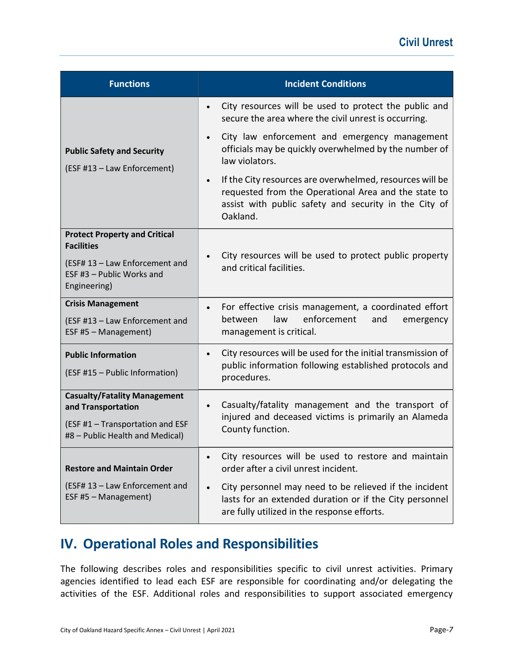| <b>Functions</b>                                                                   | <b>Incident Conditions</b>                                                                                                                                                                         |
|------------------------------------------------------------------------------------|----------------------------------------------------------------------------------------------------------------------------------------------------------------------------------------------------|
|                                                                                    | City resources will be used to protect the public and<br>$\bullet$<br>secure the area where the civil unrest is occurring.                                                                         |
| <b>Public Safety and Security</b><br>(ESF #13 - Law Enforcement)                   | City law enforcement and emergency management<br>$\bullet$<br>officials may be quickly overwhelmed by the number of<br>law violators.                                                              |
|                                                                                    | If the City resources are overwhelmed, resources will be<br>$\bullet$<br>requested from the Operational Area and the state to<br>assist with public safety and security in the City of<br>Oakland. |
| <b>Protect Property and Critical</b><br><b>Facilities</b>                          |                                                                                                                                                                                                    |
| (ESF# 13 - Law Enforcement and<br>ESF #3 - Public Works and<br>Engineering)        | City resources will be used to protect public property<br>and critical facilities.                                                                                                                 |
| <b>Crisis Management</b><br>(ESF #13 - Law Enforcement and<br>ESF #5 - Management) | For effective crisis management, a coordinated effort<br>$\bullet$<br>enforcement<br>between<br>law<br>and<br>emergency<br>management is critical.                                                 |
| <b>Public Information</b><br>(ESF #15 - Public Information)                        | City resources will be used for the initial transmission of<br>$\bullet$<br>public information following established protocols and<br>procedures.                                                  |
| <b>Casualty/Fatality Management</b><br>and Transportation                          | Casualty/fatality management and the transport of<br>$\bullet$                                                                                                                                     |
| (ESF #1 - Transportation and ESF<br>#8 - Public Health and Medical)                | injured and deceased victims is primarily an Alameda<br>County function.                                                                                                                           |
| <b>Restore and Maintain Order</b>                                                  | City resources will be used to restore and maintain<br>order after a civil unrest incident.                                                                                                        |
| (ESF# 13 - Law Enforcement and<br>ESF #5 - Management)                             | City personnel may need to be relieved if the incident<br>lasts for an extended duration or if the City personnel<br>are fully utilized in the response efforts.                                   |

# IV. Operational Roles and Responsibilities

The following describes roles and responsibilities specific to civil unrest activities. Primary agencies identified to lead each ESF are responsible for coordinating and/or delegating the activities of the ESF. Additional roles and responsibilities to support associated emergency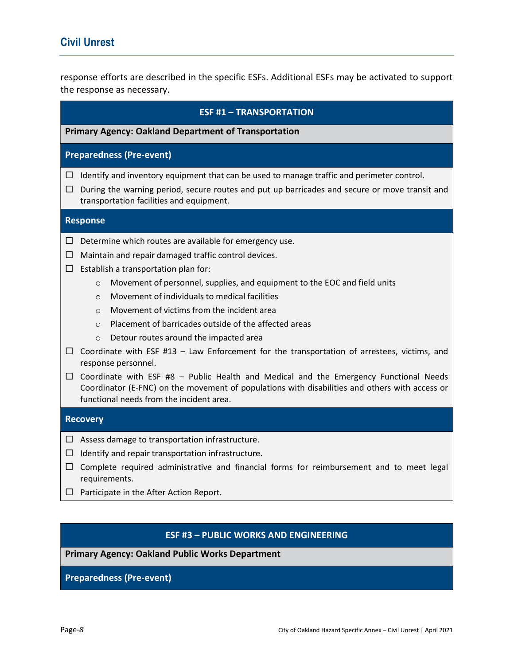response efforts are described in the specific ESFs. Additional ESFs may be activated to support the response as necessary.

### ESF #1 – TRANSPORTATION

#### Primary Agency: Oakland Department of Transportation

### Preparedness (Pre-event)

- $\Box$  Identify and inventory equipment that can be used to manage traffic and perimeter control.
- $\Box$  During the warning period, secure routes and put up barricades and secure or move transit and transportation facilities and equipment.

#### Response

- $\Box$  Determine which routes are available for emergency use.
- $\Box$  Maintain and repair damaged traffic control devices.
- $\square$  Establish a transportation plan for:
	- o Movement of personnel, supplies, and equipment to the EOC and field units
	- o Movement of individuals to medical facilities
	- o Movement of victims from the incident area
	- o Placement of barricades outside of the affected areas
	- o Detour routes around the impacted area
- $\Box$  Coordinate with ESF #13 Law Enforcement for the transportation of arrestees, victims, and response personnel.
- $\Box$  Coordinate with ESF #8 Public Health and Medical and the Emergency Functional Needs Coordinator (E-FNC) on the movement of populations with disabilities and others with access or functional needs from the incident area.

#### **Recovery**

- $\Box$  Assess damage to transportation infrastructure.
- $\Box$  Identify and repair transportation infrastructure.
- $\Box$  Complete required administrative and financial forms for reimbursement and to meet legal requirements.
- $\Box$  Participate in the After Action Report.

### ESF #3 – PUBLIC WORKS AND ENGINEERING

Primary Agency: Oakland Public Works Department

Preparedness (Pre-event)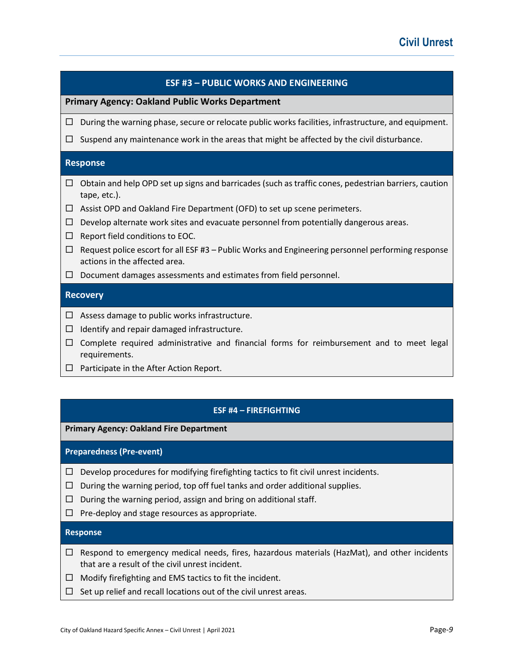|        | <b>ESF #3 - PUBLIC WORKS AND ENGINEERING</b>                                                                                       |
|--------|------------------------------------------------------------------------------------------------------------------------------------|
|        | <b>Primary Agency: Oakland Public Works Department</b>                                                                             |
| □      | During the warning phase, secure or relocate public works facilities, infrastructure, and equipment.                               |
| □      | Suspend any maintenance work in the areas that might be affected by the civil disturbance.                                         |
|        | <b>Response</b>                                                                                                                    |
| □      | Obtain and help OPD set up signs and barricades (such as traffic cones, pedestrian barriers, caution<br>tape, etc.).               |
| ⊔      | Assist OPD and Oakland Fire Department (OFD) to set up scene perimeters.                                                           |
| □      | Develop alternate work sites and evacuate personnel from potentially dangerous areas.                                              |
| □      | Report field conditions to EOC.                                                                                                    |
| ш      | Request police escort for all ESF #3 - Public Works and Engineering personnel performing response<br>actions in the affected area. |
| $\Box$ | Document damages assessments and estimates from field personnel.                                                                   |
|        | <b>Recovery</b>                                                                                                                    |
| ப      | Assess damage to public works infrastructure.                                                                                      |
| □      | Identify and repair damaged infrastructure.                                                                                        |
| $\Box$ | Complete required administrative and financial forms for reimbursement and to meet legal<br>requirements.                          |

 $\Box$  Participate in the After Action Report.

### ESF #4 – FIREFIGHTING

Primary Agency: Oakland Fire Department

Preparedness (Pre-event)

- $\Box$  Develop procedures for modifying firefighting tactics to fit civil unrest incidents.
- $\Box$  During the warning period, top off fuel tanks and order additional supplies.
- $\Box$  During the warning period, assign and bring on additional staff.
- $\Box$  Pre-deploy and stage resources as appropriate.

### Response

- $\Box$  Respond to emergency medical needs, fires, hazardous materials (HazMat), and other incidents that are a result of the civil unrest incident.
- $\Box$  Modify firefighting and EMS tactics to fit the incident.
- $\Box$  Set up relief and recall locations out of the civil unrest areas.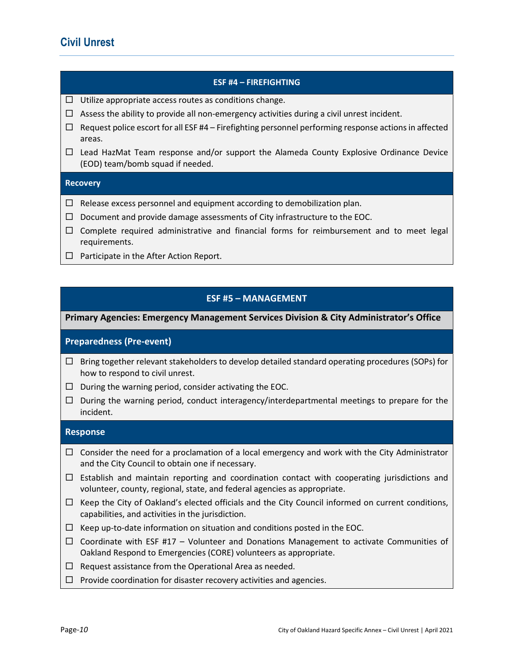### ESF #4 – FIREFIGHTING

- $\Box$  Utilize appropriate access routes as conditions change.
- $\Box$  Assess the ability to provide all non-emergency activities during a civil unrest incident.
- $\Box$  Request police escort for all ESF #4 Firefighting personnel performing response actions in affected areas.
- $\Box$  Lead HazMat Team response and/or support the Alameda County Explosive Ordinance Device (EOD) team/bomb squad if needed.

### **Recovery**

- $\Box$  Release excess personnel and equipment according to demobilization plan.
- $\square$  Document and provide damage assessments of City infrastructure to the EOC.
- $\Box$  Complete required administrative and financial forms for reimbursement and to meet legal requirements.
- $\Box$  Participate in the After Action Report.

### ESF #5 – MANAGEMENT

Primary Agencies: Emergency Management Services Division & City Administrator's Office

### Preparedness (Pre-event)

- $\Box$  Bring together relevant stakeholders to develop detailed standard operating procedures (SOPs) for how to respond to civil unrest.
- $\Box$  During the warning period, consider activating the EOC.
- $\Box$  During the warning period, conduct interagency/interdepartmental meetings to prepare for the incident.

#### Response

- $\Box$  Consider the need for a proclamation of a local emergency and work with the City Administrator and the City Council to obtain one if necessary.
- $\Box$  Establish and maintain reporting and coordination contact with cooperating jurisdictions and volunteer, county, regional, state, and federal agencies as appropriate.
- $\Box$  Keep the City of Oakland's elected officials and the City Council informed on current conditions, capabilities, and activities in the jurisdiction.
- $\Box$  Keep up-to-date information on situation and conditions posted in the EOC.
- $\Box$  Coordinate with ESF #17 Volunteer and Donations Management to activate Communities of Oakland Respond to Emergencies (CORE) volunteers as appropriate.
- $\Box$  Request assistance from the Operational Area as needed.
- $\Box$  Provide coordination for disaster recovery activities and agencies.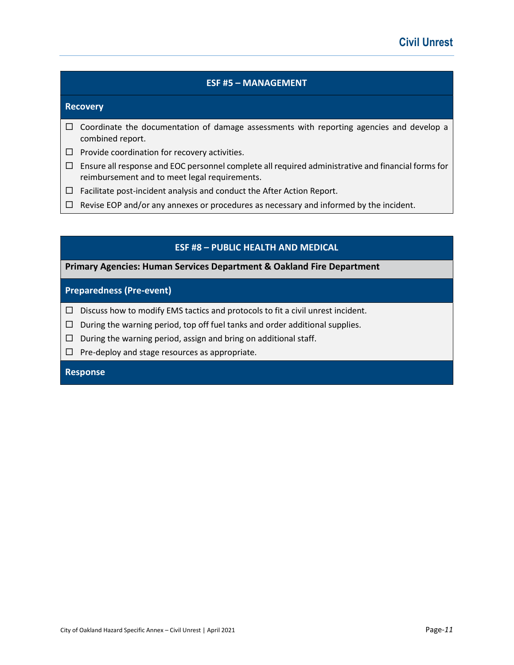### ESF #5 – MANAGEMENT

#### **Recovery**

- $\Box$  Coordinate the documentation of damage assessments with reporting agencies and develop a combined report.
- $\Box$  Provide coordination for recovery activities.
- $\Box$  Ensure all response and EOC personnel complete all required administrative and financial forms for reimbursement and to meet legal requirements.
- $\Box$  Facilitate post-incident analysis and conduct the After Action Report.
- $\Box$  Revise EOP and/or any annexes or procedures as necessary and informed by the incident.

### ESF #8 – PUBLIC HEALTH AND MEDICAL

#### Primary Agencies: Human Services Department & Oakland Fire Department

### Preparedness (Pre-event)

- $\Box$  Discuss how to modify EMS tactics and protocols to fit a civil unrest incident.
- $\Box$  During the warning period, top off fuel tanks and order additional supplies.
- $\Box$  During the warning period, assign and bring on additional staff.
- $\Box$  Pre-deploy and stage resources as appropriate.

### Response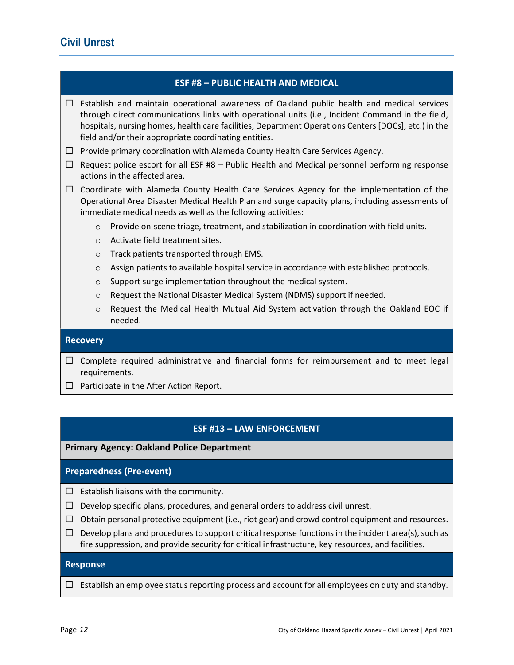### ESF #8 – PUBLIC HEALTH AND MEDICAL

 $\Box$  Establish and maintain operational awareness of Oakland public health and medical services through direct communications links with operational units (i.e., Incident Command in the field, hospitals, nursing homes, health care facilities, Department Operations Centers [DOCs], etc.) in the field and/or their appropriate coordinating entities.

- $\Box$  Provide primary coordination with Alameda County Health Care Services Agency.
- $\Box$  Request police escort for all ESF #8 Public Health and Medical personnel performing response actions in the affected area.
- $\Box$  Coordinate with Alameda County Health Care Services Agency for the implementation of the Operational Area Disaster Medical Health Plan and surge capacity plans, including assessments of immediate medical needs as well as the following activities:
	- o Provide on-scene triage, treatment, and stabilization in coordination with field units.
	- o Activate field treatment sites.
	- o Track patients transported through EMS.
	- o Assign patients to available hospital service in accordance with established protocols.
	- o Support surge implementation throughout the medical system.
	- o Request the National Disaster Medical System (NDMS) support if needed.
	- o Request the Medical Health Mutual Aid System activation through the Oakland EOC if needed.

#### **Recovery**

- $\Box$  Complete required administrative and financial forms for reimbursement and to meet legal requirements.
- $\Box$  Participate in the After Action Report.

### ESF #13 – LAW ENFORCEMENT

### Primary Agency: Oakland Police Department

### Preparedness (Pre-event)

- $\square$  Establish liaisons with the community.
- $\Box$  Develop specific plans, procedures, and general orders to address civil unrest.
- $\Box$  Obtain personal protective equipment (i.e., riot gear) and crowd control equipment and resources.
- $\Box$  Develop plans and procedures to support critical response functions in the incident area(s), such as fire suppression, and provide security for critical infrastructure, key resources, and facilities.

#### Response

 $\Box$  Establish an employee status reporting process and account for all employees on duty and standby.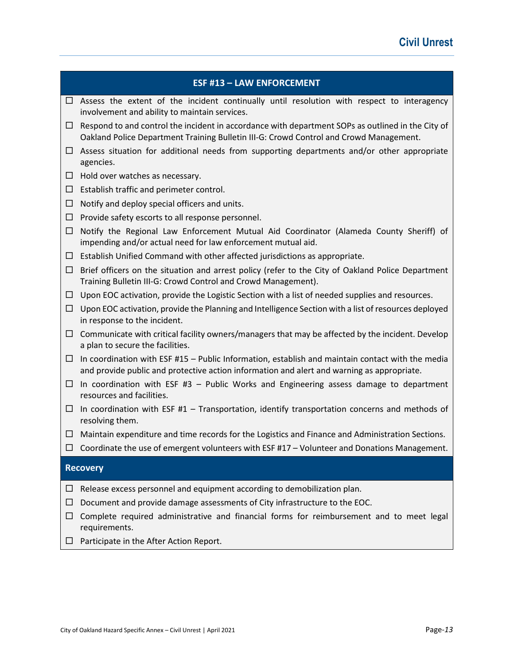|        | <b>ESF #13 - LAW ENFORCEMENT</b>                                                                                                                                                               |
|--------|------------------------------------------------------------------------------------------------------------------------------------------------------------------------------------------------|
| ப      | Assess the extent of the incident continually until resolution with respect to interagency<br>involvement and ability to maintain services.                                                    |
| ப      | Respond to and control the incident in accordance with department SOPs as outlined in the City of<br>Oakland Police Department Training Bulletin III-G: Crowd Control and Crowd Management.    |
| ப      | Assess situation for additional needs from supporting departments and/or other appropriate<br>agencies.                                                                                        |
| $\Box$ | Hold over watches as necessary.                                                                                                                                                                |
| $\Box$ | Establish traffic and perimeter control.                                                                                                                                                       |
| □      | Notify and deploy special officers and units.                                                                                                                                                  |
| □      | Provide safety escorts to all response personnel.                                                                                                                                              |
| □      | Notify the Regional Law Enforcement Mutual Aid Coordinator (Alameda County Sheriff) of<br>impending and/or actual need for law enforcement mutual aid.                                         |
| $\Box$ | Establish Unified Command with other affected jurisdictions as appropriate.                                                                                                                    |
| $\Box$ | Brief officers on the situation and arrest policy (refer to the City of Oakland Police Department<br>Training Bulletin III-G: Crowd Control and Crowd Management).                             |
| □      | Upon EOC activation, provide the Logistic Section with a list of needed supplies and resources.                                                                                                |
| □      | Upon EOC activation, provide the Planning and Intelligence Section with a list of resources deployed<br>in response to the incident.                                                           |
| $\Box$ | Communicate with critical facility owners/managers that may be affected by the incident. Develop<br>a plan to secure the facilities.                                                           |
| $\Box$ | In coordination with ESF #15 - Public Information, establish and maintain contact with the media<br>and provide public and protective action information and alert and warning as appropriate. |
| $\Box$ | In coordination with ESF $#3$ - Public Works and Engineering assess damage to department<br>resources and facilities.                                                                          |
| $\Box$ | In coordination with ESF $#1$ - Transportation, identify transportation concerns and methods of<br>resolving them.                                                                             |
| ⊔      | Maintain expenditure and time records for the Logistics and Finance and Administration Sections.                                                                                               |
| □      | Coordinate the use of emergent volunteers with ESF #17 - Volunteer and Donations Management.                                                                                                   |
|        | <b>Recovery</b>                                                                                                                                                                                |
| ப      | Release excess personnel and equipment according to demobilization plan.                                                                                                                       |
| ப      | Document and provide damage assessments of City infrastructure to the EOC.                                                                                                                     |

- $\Box$  Complete required administrative and financial forms for reimbursement and to meet legal requirements.
- $\Box$  Participate in the After Action Report.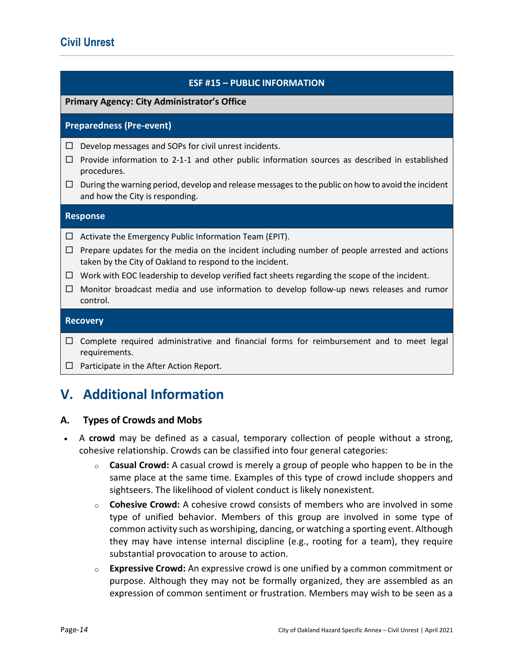### ESF #15 – PUBLIC INFORMATION

### Primary Agency: City Administrator's Office

### Preparedness (Pre-event)

- $\Box$  Develop messages and SOPs for civil unrest incidents.
- $\Box$  Provide information to 2-1-1 and other public information sources as described in established procedures.
- $\Box$  During the warning period, develop and release messages to the public on how to avoid the incident and how the City is responding.

### Response

- $\Box$  Activate the Emergency Public Information Team (EPIT).
- $\Box$  Prepare updates for the media on the incident including number of people arrested and actions taken by the City of Oakland to respond to the incident.
- $\Box$  Work with EOC leadership to develop verified fact sheets regarding the scope of the incident.
- $\Box$  Monitor broadcast media and use information to develop follow-up news releases and rumor control.

#### **Recovery**

- $\Box$  Complete required administrative and financial forms for reimbursement and to meet legal requirements.
- $\Box$  Participate in the After Action Report.

# V. Additional Information

### A. Types of Crowds and Mobs

- A crowd may be defined as a casual, temporary collection of people without a strong, cohesive relationship. Crowds can be classified into four general categories:
	- $\circ$  **Casual Crowd:** A casual crowd is merely a group of people who happen to be in the same place at the same time. Examples of this type of crowd include shoppers and sightseers. The likelihood of violent conduct is likely nonexistent.
	- $\circ$  **Cohesive Crowd:** A cohesive crowd consists of members who are involved in some type of unified behavior. Members of this group are involved in some type of common activity such as worshiping, dancing, or watching a sporting event. Although they may have intense internal discipline (e.g., rooting for a team), they require substantial provocation to arouse to action.
	- $\circ$  Expressive Crowd: An expressive crowd is one unified by a common commitment or purpose. Although they may not be formally organized, they are assembled as an expression of common sentiment or frustration. Members may wish to be seen as a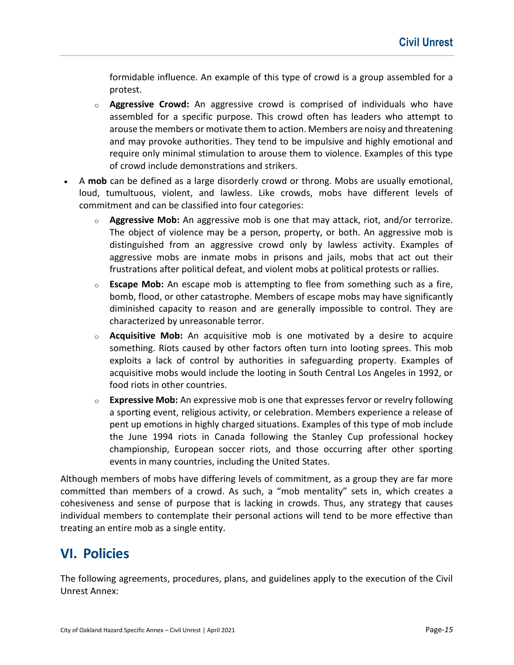formidable influence. An example of this type of crowd is a group assembled for a protest.

- $\circ$  **Aggressive Crowd:** An aggressive crowd is comprised of individuals who have assembled for a specific purpose. This crowd often has leaders who attempt to arouse the members or motivate them to action. Members are noisy and threatening and may provoke authorities. They tend to be impulsive and highly emotional and require only minimal stimulation to arouse them to violence. Examples of this type of crowd include demonstrations and strikers.
- A mob can be defined as a large disorderly crowd or throng. Mobs are usually emotional, loud, tumultuous, violent, and lawless. Like crowds, mobs have different levels of commitment and can be classified into four categories:
	- $\circ$  **Aggressive Mob:** An aggressive mob is one that may attack, riot, and/or terrorize. The object of violence may be a person, property, or both. An aggressive mob is distinguished from an aggressive crowd only by lawless activity. Examples of aggressive mobs are inmate mobs in prisons and jails, mobs that act out their frustrations after political defeat, and violent mobs at political protests or rallies.
	- $\circ$  Escape Mob: An escape mob is attempting to flee from something such as a fire, bomb, flood, or other catastrophe. Members of escape mobs may have significantly diminished capacity to reason and are generally impossible to control. They are characterized by unreasonable terror.
	- $\circ$  **Acquisitive Mob:** An acquisitive mob is one motivated by a desire to acquire something. Riots caused by other factors often turn into looting sprees. This mob exploits a lack of control by authorities in safeguarding property. Examples of acquisitive mobs would include the looting in South Central Los Angeles in 1992, or food riots in other countries.
	- $\circ$  Expressive Mob: An expressive mob is one that expresses fervor or revelry following a sporting event, religious activity, or celebration. Members experience a release of pent up emotions in highly charged situations. Examples of this type of mob include the June 1994 riots in Canada following the Stanley Cup professional hockey championship, European soccer riots, and those occurring after other sporting events in many countries, including the United States.

Although members of mobs have differing levels of commitment, as a group they are far more committed than members of a crowd. As such, a "mob mentality" sets in, which creates a cohesiveness and sense of purpose that is lacking in crowds. Thus, any strategy that causes individual members to contemplate their personal actions will tend to be more effective than treating an entire mob as a single entity.

# VI. Policies

The following agreements, procedures, plans, and guidelines apply to the execution of the Civil Unrest Annex: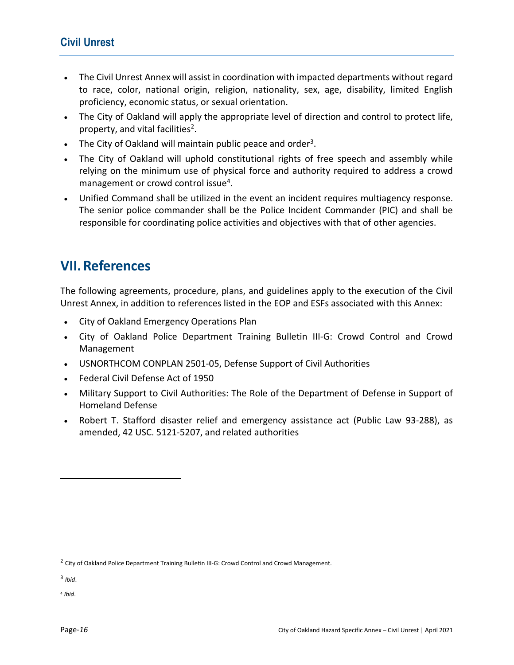### Civil Unrest

- The Civil Unrest Annex will assist in coordination with impacted departments without regard to race, color, national origin, religion, nationality, sex, age, disability, limited English proficiency, economic status, or sexual orientation.
- The City of Oakland will apply the appropriate level of direction and control to protect life, property, and vital facilities<sup>2</sup>.
- The City of Oakland will maintain public peace and order<sup>3</sup>.
- The City of Oakland will uphold constitutional rights of free speech and assembly while relying on the minimum use of physical force and authority required to address a crowd management or crowd control issue<sup>4</sup>.
- Unified Command shall be utilized in the event an incident requires multiagency response. The senior police commander shall be the Police Incident Commander (PIC) and shall be responsible for coordinating police activities and objectives with that of other agencies.

# VII.References

The following agreements, procedure, plans, and guidelines apply to the execution of the Civil Unrest Annex, in addition to references listed in the EOP and ESFs associated with this Annex:

- City of Oakland Emergency Operations Plan
- City of Oakland Police Department Training Bulletin III-G: Crowd Control and Crowd Management
- USNORTHCOM CONPLAN 2501-05, Defense Support of Civil Authorities
- Federal Civil Defense Act of 1950
- Military Support to Civil Authorities: The Role of the Department of Defense in Support of Homeland Defense
- Robert T. Stafford disaster relief and emergency assistance act (Public Law 93-288), as amended, 42 USC. 5121-5207, and related authorities

l

4 Ibid.

<sup>&</sup>lt;sup>2</sup> City of Oakland Police Department Training Bulletin III-G: Crowd Control and Crowd Management.

 $3$  Ibid.